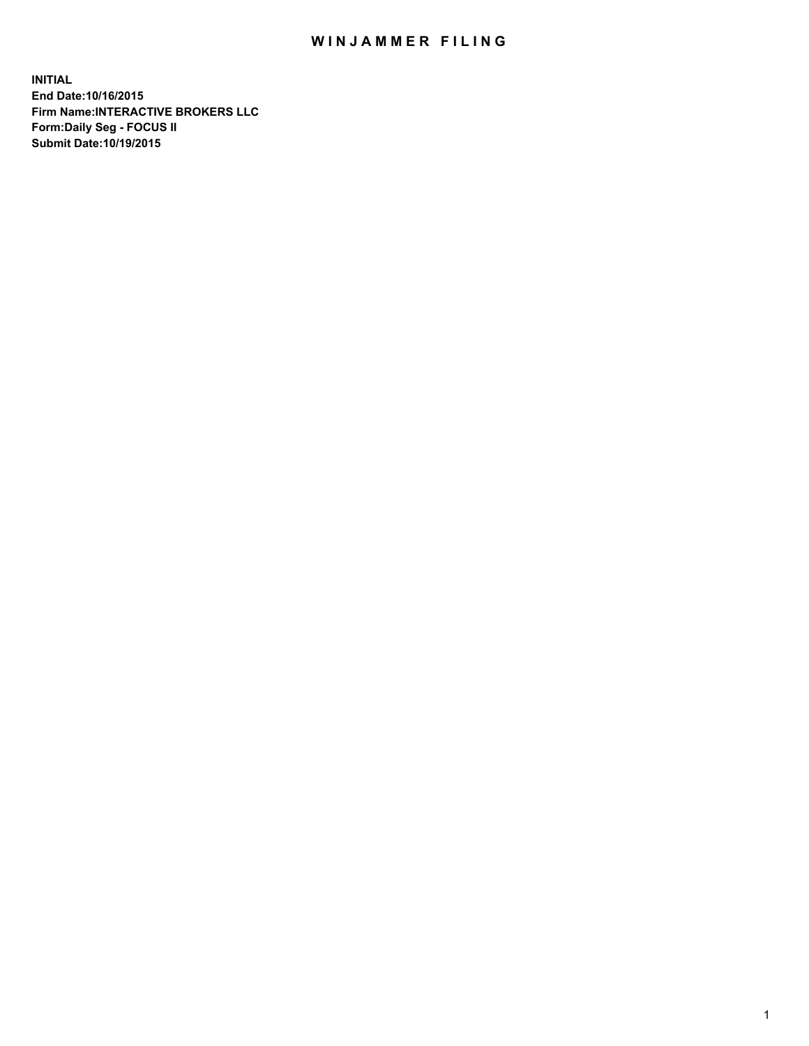## WIN JAMMER FILING

**INITIAL End Date:10/16/2015 Firm Name:INTERACTIVE BROKERS LLC Form:Daily Seg - FOCUS II Submit Date:10/19/2015**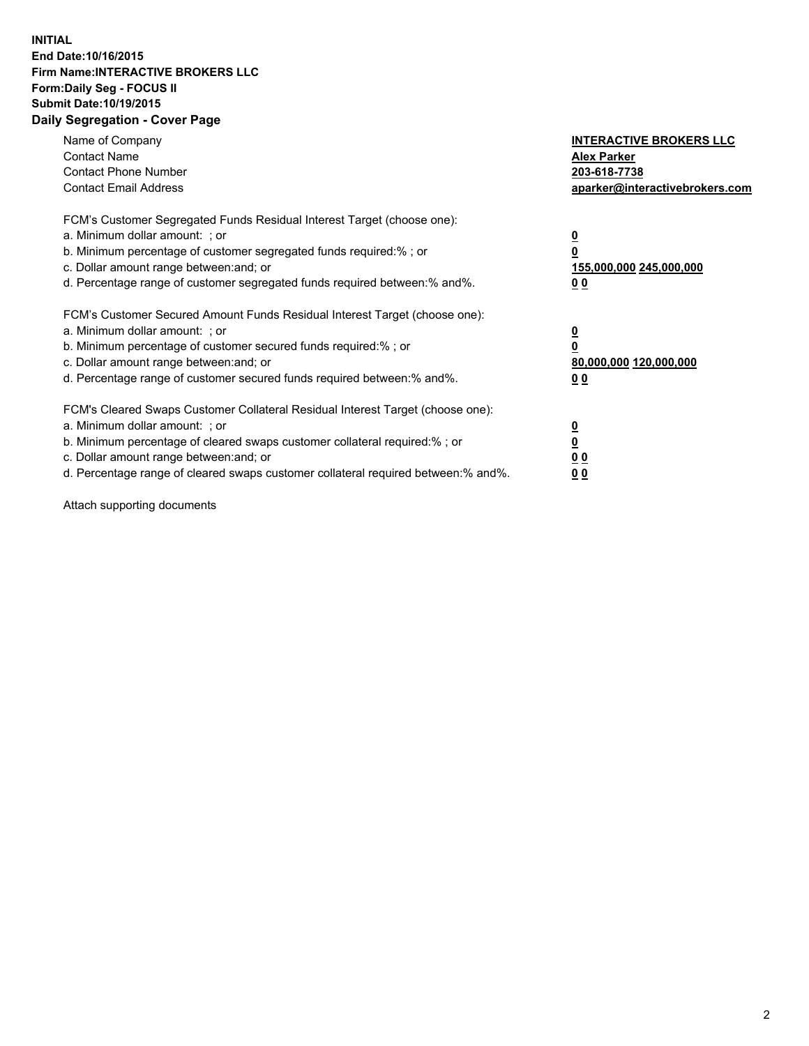## **INITIAL End Date:10/16/2015 Firm Name:INTERACTIVE BROKERS LLC Form:Daily Seg - FOCUS II Submit Date:10/19/2015 Daily Segregation - Cover Page**

| Name of Company<br><b>Contact Name</b><br><b>Contact Phone Number</b><br><b>Contact Email Address</b>                                                                                                                                                                                                                         | <b>INTERACTIVE BROKERS LLC</b><br><b>Alex Parker</b><br>203-618-7738<br>aparker@interactivebrokers.com |
|-------------------------------------------------------------------------------------------------------------------------------------------------------------------------------------------------------------------------------------------------------------------------------------------------------------------------------|--------------------------------------------------------------------------------------------------------|
| FCM's Customer Segregated Funds Residual Interest Target (choose one):<br>a. Minimum dollar amount: ; or<br>b. Minimum percentage of customer segregated funds required:% ; or<br>c. Dollar amount range between: and; or<br>d. Percentage range of customer segregated funds required between:% and%.                        | <u>0</u><br><u>155,000,000 245,000,000</u><br>00                                                       |
| FCM's Customer Secured Amount Funds Residual Interest Target (choose one):<br>a. Minimum dollar amount: ; or<br>b. Minimum percentage of customer secured funds required:% ; or<br>c. Dollar amount range between: and; or<br>d. Percentage range of customer secured funds required between: % and %.                        | $\overline{\mathbf{0}}$<br>80,000,000 120,000,000<br>00                                                |
| FCM's Cleared Swaps Customer Collateral Residual Interest Target (choose one):<br>a. Minimum dollar amount: ; or<br>b. Minimum percentage of cleared swaps customer collateral required:%; or<br>c. Dollar amount range between: and; or<br>d. Percentage range of cleared swaps customer collateral required between:% and%. | <u>0</u><br>0 <sub>0</sub><br><u>00</u>                                                                |

Attach supporting documents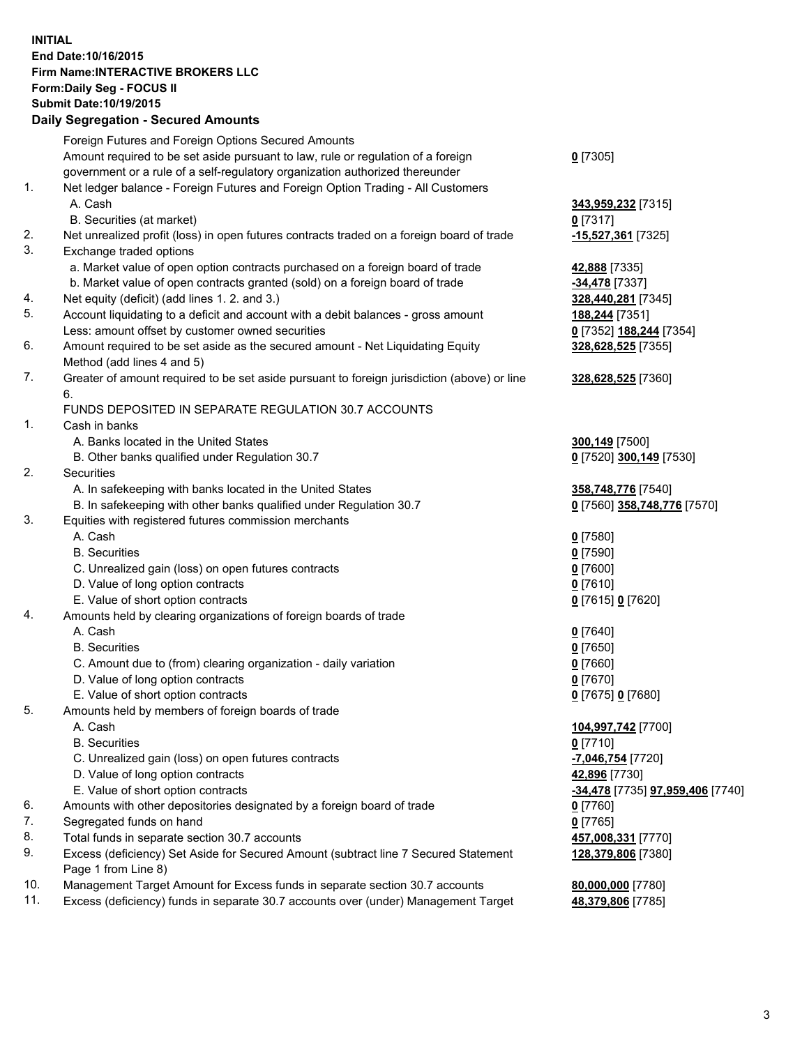## **INITIAL End Date:10/16/2015 Firm Name:INTERACTIVE BROKERS LLC Form:Daily Seg - FOCUS II Submit Date:10/19/2015 Daily Segregation - Secured Amounts**

|                | Daily Jegregation - Jeculed Aniounts                                                                       |                                  |
|----------------|------------------------------------------------------------------------------------------------------------|----------------------------------|
|                | Foreign Futures and Foreign Options Secured Amounts                                                        |                                  |
|                | Amount required to be set aside pursuant to law, rule or regulation of a foreign                           | $0$ [7305]                       |
|                | government or a rule of a self-regulatory organization authorized thereunder                               |                                  |
| 1.             | Net ledger balance - Foreign Futures and Foreign Option Trading - All Customers                            |                                  |
|                | A. Cash                                                                                                    | 343,959,232 [7315]               |
|                | B. Securities (at market)                                                                                  | 0 [7317]                         |
| 2.             | Net unrealized profit (loss) in open futures contracts traded on a foreign board of trade                  | -15,527,361 [7325]               |
| 3.             | Exchange traded options                                                                                    |                                  |
|                | a. Market value of open option contracts purchased on a foreign board of trade                             | 42,888 [7335]                    |
|                | b. Market value of open contracts granted (sold) on a foreign board of trade                               | -34,478 [7337]                   |
| 4.             | Net equity (deficit) (add lines 1.2. and 3.)                                                               | 328,440,281 [7345]               |
| 5.             | Account liquidating to a deficit and account with a debit balances - gross amount                          | 188,244 [7351]                   |
|                | Less: amount offset by customer owned securities                                                           | 0 [7352] 188,244 [7354]          |
| 6.             | Amount required to be set aside as the secured amount - Net Liquidating Equity                             | 328,628,525 [7355]               |
|                | Method (add lines 4 and 5)                                                                                 |                                  |
| 7.             | Greater of amount required to be set aside pursuant to foreign jurisdiction (above) or line                | 328,628,525 [7360]               |
|                | 6.                                                                                                         |                                  |
|                | FUNDS DEPOSITED IN SEPARATE REGULATION 30.7 ACCOUNTS                                                       |                                  |
| $\mathbf{1}$ . | Cash in banks                                                                                              |                                  |
|                | A. Banks located in the United States                                                                      | 300,149 [7500]                   |
|                | B. Other banks qualified under Regulation 30.7                                                             | 0 [7520] 300,149 [7530]          |
| 2.             | Securities                                                                                                 |                                  |
|                | A. In safekeeping with banks located in the United States                                                  | 358,748,776 [7540]               |
|                | B. In safekeeping with other banks qualified under Regulation 30.7                                         | 0 [7560] 358,748,776 [7570]      |
| 3.             | Equities with registered futures commission merchants                                                      |                                  |
|                | A. Cash                                                                                                    | $0$ [7580]                       |
|                | <b>B.</b> Securities                                                                                       | $0$ [7590]                       |
|                | C. Unrealized gain (loss) on open futures contracts                                                        | $0$ [7600]                       |
|                | D. Value of long option contracts                                                                          | $0$ [7610]                       |
|                | E. Value of short option contracts                                                                         | 0 [7615] 0 [7620]                |
| 4.             | Amounts held by clearing organizations of foreign boards of trade                                          |                                  |
|                | A. Cash                                                                                                    | $0$ [7640]                       |
|                | <b>B.</b> Securities                                                                                       | $0$ [7650]                       |
|                | C. Amount due to (from) clearing organization - daily variation                                            | $0$ [7660]                       |
|                | D. Value of long option contracts                                                                          | $0$ [7670]                       |
|                | E. Value of short option contracts                                                                         | 0 [7675] 0 [7680]                |
| 5.             | Amounts held by members of foreign boards of trade                                                         |                                  |
|                | A. Cash                                                                                                    | 104,997,742 [7700]               |
|                | <b>B.</b> Securities                                                                                       | $0$ [7710]                       |
|                | C. Unrealized gain (loss) on open futures contracts                                                        | -7,046,754 [7720]                |
|                | D. Value of long option contracts                                                                          | 42,896 [7730]                    |
|                | E. Value of short option contracts                                                                         | -34,478 [7735] 97,959,406 [7740] |
| 6.             | Amounts with other depositories designated by a foreign board of trade                                     | 0 [7760]                         |
| 7.             | Segregated funds on hand                                                                                   | $0$ [7765]                       |
| 8.             | Total funds in separate section 30.7 accounts                                                              | 457,008,331 [7770]               |
| 9.             | Excess (deficiency) Set Aside for Secured Amount (subtract line 7 Secured Statement<br>Page 1 from Line 8) | 128,379,806 [7380]               |
| 10.            | Management Target Amount for Excess funds in separate section 30.7 accounts                                | 80,000,000 [7780]                |
| 11.            | Excess (deficiency) funds in separate 30.7 accounts over (under) Management Target                         | 48,379,806 [7785]                |
|                |                                                                                                            |                                  |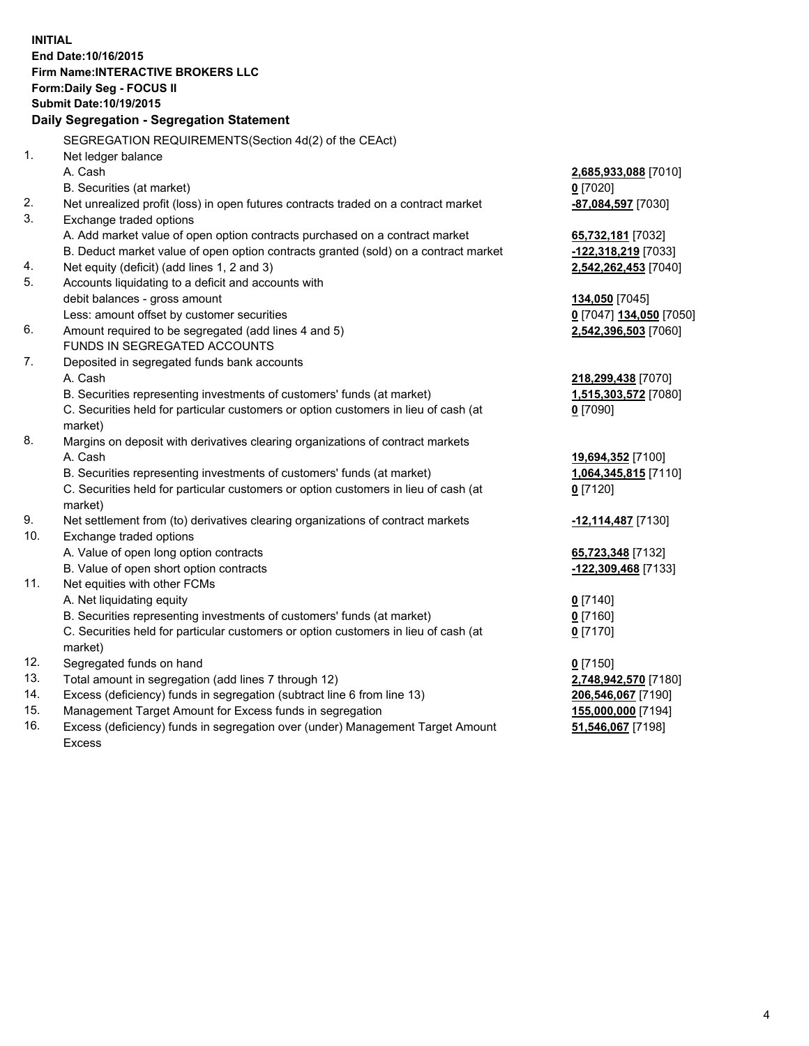**INITIAL End Date:10/16/2015 Firm Name:INTERACTIVE BROKERS LLC Form:Daily Seg - FOCUS II Submit Date:10/19/2015 Daily Segregation - Segregation Statement** SEGREGATION REQUIREMENTS(Section 4d(2) of the CEAct) 1. Net ledger balance A. Cash **2,685,933,088** [7010] B. Securities (at market) **0** [7020] 2. Net unrealized profit (loss) in open futures contracts traded on a contract market **-87,084,597** [7030] 3. Exchange traded options A. Add market value of open option contracts purchased on a contract market **65,732,181** [7032] B. Deduct market value of open option contracts granted (sold) on a contract market **-122,318,219** [7033] 4. Net equity (deficit) (add lines 1, 2 and 3) **2,542,262,453** [7040] 5. Accounts liquidating to a deficit and accounts with debit balances - gross amount **134,050** [7045] Less: amount offset by customer securities **0** [7047] **134,050** [7050] 6. Amount required to be segregated (add lines 4 and 5) **2,542,396,503** [7060] FUNDS IN SEGREGATED ACCOUNTS 7. Deposited in segregated funds bank accounts A. Cash **218,299,438** [7070] B. Securities representing investments of customers' funds (at market) **1,515,303,572** [7080] C. Securities held for particular customers or option customers in lieu of cash (at market) **0** [7090] 8. Margins on deposit with derivatives clearing organizations of contract markets A. Cash **19,694,352** [7100] B. Securities representing investments of customers' funds (at market) **1,064,345,815** [7110] C. Securities held for particular customers or option customers in lieu of cash (at market) **0** [7120] 9. Net settlement from (to) derivatives clearing organizations of contract markets **-12,114,487** [7130] 10. Exchange traded options A. Value of open long option contracts **65,723,348** [7132] B. Value of open short option contracts **-122,309,468** [7133] 11. Net equities with other FCMs A. Net liquidating equity **0** [7140] B. Securities representing investments of customers' funds (at market) **0** [7160] C. Securities held for particular customers or option customers in lieu of cash (at market) **0** [7170] 12. Segregated funds on hand **0** [7150] 13. Total amount in segregation (add lines 7 through 12) **2,748,942,570** [7180] 14. Excess (deficiency) funds in segregation (subtract line 6 from line 13) **206,546,067** [7190] 15. Management Target Amount for Excess funds in segregation **155,000,000** [7194]

16. Excess (deficiency) funds in segregation over (under) Management Target Amount Excess

**51,546,067** [7198]